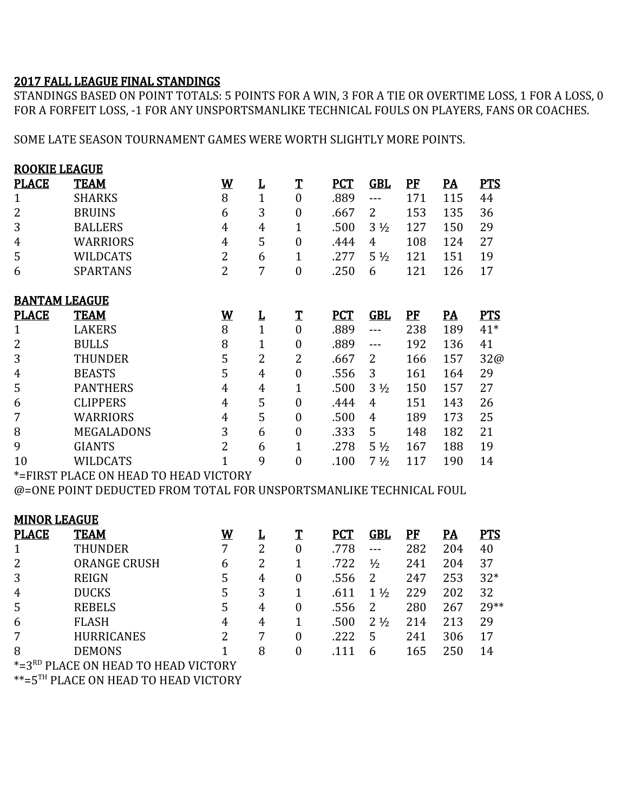## 2017 FALL LEAGUE FINAL STANDINGS

STANDINGS BASED ON POINT TOTALS: 5 POINTS FOR A WIN, 3 FOR A TIE OR OVERTIME LOSS, 1 FOR A LOSS, 0 FOR A FORFEIT LOSS, -1 FOR ANY UNSPORTSMANLIKE TECHNICAL FOULS ON PLAYERS, FANS OR COACHES.

SOME LATE SEASON TOURNAMENT GAMES WERE WORTH SLIGHTLY MORE POINTS.

| <b>ROOKIE LEAGUE</b>                                               |                   |                          |                |                  |            |                |     |                           |            |
|--------------------------------------------------------------------|-------------------|--------------------------|----------------|------------------|------------|----------------|-----|---------------------------|------------|
| <b>PLACE</b>                                                       | <b>TEAM</b>       | $\underline{\mathbf{W}}$ | L              | $\mathbf T$      | <b>PCT</b> | <b>GBL</b>     | PF  | $\underline{\mathbf{PA}}$ | <b>PTS</b> |
| $\mathbf{1}$                                                       | <b>SHARKS</b>     | 8                        | $\mathbf{1}$   | $\mathbf{0}$     | .889       | $---$          | 171 | 115                       | 44         |
| $\overline{2}$                                                     | <b>BRUINS</b>     | 6                        | 3              | $\boldsymbol{0}$ | .667       | $\overline{2}$ | 153 | 135                       | 36         |
| 3                                                                  | <b>BALLERS</b>    | 4                        | 4              | 1                | .500       | $3\frac{1}{2}$ | 127 | 150                       | 29         |
| 4                                                                  | <b>WARRIORS</b>   | $\overline{4}$           | 5              | $\boldsymbol{0}$ | .444       | $\overline{4}$ | 108 | 124                       | 27         |
| 5                                                                  | <b>WILDCATS</b>   | $\overline{2}$           | 6              | 1                | .277       | $5\frac{1}{2}$ | 121 | 151                       | 19         |
| 6                                                                  | <b>SPARTANS</b>   | $\overline{2}$           | 7              | $\overline{0}$   | .250       | 6              | 121 | 126                       | 17         |
| <b>BANTAM LEAGUE</b>                                               |                   |                          |                |                  |            |                |     |                           |            |
| <b>PLACE</b>                                                       | <b>TEAM</b>       | <u>W</u>                 | L              | $\mathbf T$      | <b>PCT</b> | <b>GBL</b>     | PF  | <u>PA</u>                 | <b>PTS</b> |
| $\mathbf{1}$                                                       | <b>LAKERS</b>     | 8                        | $\mathbf{1}$   | $\mathbf{0}$     | .889       | $---$          | 238 | 189                       | $41*$      |
| $\overline{2}$                                                     | <b>BULLS</b>      | 8                        | 1              | $\boldsymbol{0}$ | .889       | ---            | 192 | 136                       | 41         |
| 3                                                                  | <b>THUNDER</b>    | 5                        | $\overline{2}$ | $\overline{2}$   | .667       | $\overline{2}$ | 166 | 157                       | 32@        |
| 4                                                                  | <b>BEASTS</b>     | 5                        | 4              | $\boldsymbol{0}$ | .556       | 3              | 161 | 164                       | 29         |
| 5                                                                  | <b>PANTHERS</b>   | $\overline{4}$           | 4              | 1                | .500       | $3\frac{1}{2}$ | 150 | 157                       | 27         |
| 6                                                                  | <b>CLIPPERS</b>   | $\overline{4}$           | 5              | $\boldsymbol{0}$ | .444       | 4              | 151 | 143                       | 26         |
| 7                                                                  | <b>WARRIORS</b>   | 4                        | 5              | $\overline{0}$   | .500       | 4              | 189 | 173                       | 25         |
| 8                                                                  | <b>MEGALADONS</b> | 3                        | 6              | $\boldsymbol{0}$ | .333       | 5              | 148 | 182                       | 21         |
| 9                                                                  | <b>GIANTS</b>     | $\overline{2}$           | 6              | 1                | .278       | $5\frac{1}{2}$ | 167 | 188                       | 19         |
| 10                                                                 | <b>WILDCATS</b>   | 1                        | 9              | $\overline{0}$   | .100       | $7\frac{1}{2}$ | 117 | 190                       | 14         |
| *=FIRST PLACE ON HEAD TO HEAD VICTORY                              |                   |                          |                |                  |            |                |     |                           |            |
| @=ONE POINT DEDUCTED FROM TOTAL FOR UNSPORTSMANLIKE TECHNICAL FOUL |                   |                          |                |                  |            |                |     |                           |            |
| <b>MINOR LEAGUE</b>                                                |                   |                          |                |                  |            |                |     |                           |            |
| <b>PLACE</b>                                                       | <b>TEAM</b>       | $\underline{\mathsf{W}}$ | L              | $\mathbf T$      | <b>PCT</b> | <b>GBL</b>     | PF  | <u>PA</u>                 | <b>PTS</b> |

|                     | <u>W</u>    |                               |   |      |                |     | <u>PA</u>                           | <u>PTS</u> |
|---------------------|-------------|-------------------------------|---|------|----------------|-----|-------------------------------------|------------|
| <b>THUNDER</b>      |             |                               | 0 | .778 |                | 282 | 204                                 | 40         |
| <b>ORANGE CRUSH</b> | 6           |                               |   | .722 | $\frac{1}{2}$  | 241 | 204                                 | 37         |
| <b>REIGN</b>        | 5           | 4                             | 0 | .556 | 2              | 247 | 253                                 | $32*$      |
| <b>DUCKS</b>        | 5           | 3                             |   | .611 | $\frac{1}{2}$  | 229 | 202                                 | 32         |
| <b>REBELS</b>       | 5           | 4                             | 0 | .556 |                | 280 | 267                                 | 29**       |
| <b>FLASH</b>        | 4           | 4                             |   | .500 | $2\frac{1}{2}$ | 214 | 213                                 | 29         |
| <b>HURRICANES</b>   | 2           |                               | 0 | .222 | 5              | 241 | 306                                 | 17         |
| <b>DEMONS</b>       |             | 8                             | 0 | .111 | 6              | 165 | 250                                 | 14         |
|                     |             |                               |   |      |                |     |                                     |            |
|                     | <b>TEAM</b> | PLACE ON HEAD TO HEAD VICTORY |   |      |                |     | <u>PCT</u><br>Т<br><u>GBL</u><br>PF |            |

\*\*=5TH PLACE ON HEAD TO HEAD VICTORY